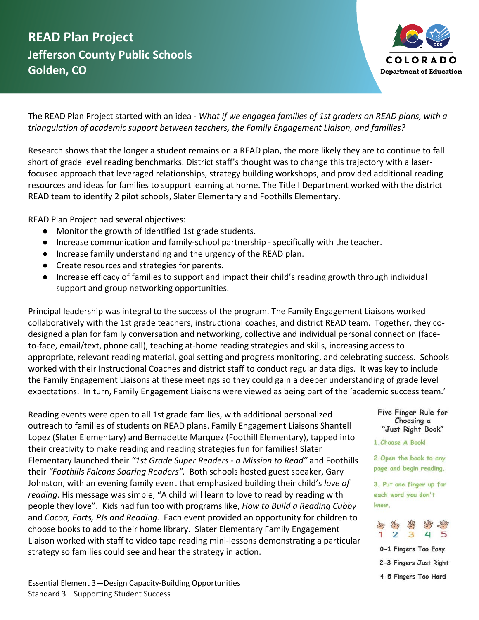## **READ Plan Project Jefferson County Public Schools Golden, CO**



The READ Plan Project started with an idea - *What if we engaged families of 1st graders on READ plans, with a triangulation of academic support between teachers, the Family Engagement Liaison, and families?* 

Research shows that the longer a student remains on a READ plan, the more likely they are to continue to fall short of grade level reading benchmarks. District staff's thought was to change this trajectory with a laserfocused approach that leveraged relationships, strategy building workshops, and provided additional reading resources and ideas for families to support learning at home. The Title I Department worked with the district READ team to identify 2 pilot schools, Slater Elementary and Foothills Elementary.

READ Plan Project had several objectives:

- Monitor the growth of identified 1st grade students.
- Increase communication and family-school partnership specifically with the teacher.
- Increase family understanding and the urgency of the READ plan.
- Create resources and strategies for parents.
- Increase efficacy of families to support and impact their child's reading growth through individual support and group networking opportunities.

Principal leadership was integral to the success of the program. The Family Engagement Liaisons worked collaboratively with the 1st grade teachers, instructional coaches, and district READ team. Together, they codesigned a plan for family conversation and networking, collective and individual personal connection (faceto-face, email/text, phone call), teaching at-home reading strategies and skills, increasing access to appropriate, relevant reading material, goal setting and progress monitoring, and celebrating success. Schools worked with their Instructional Coaches and district staff to conduct regular data digs. It was key to include the Family Engagement Liaisons at these meetings so they could gain a deeper understanding of grade level expectations. In turn, Family Engagement Liaisons were viewed as being part of the 'academic success team.'

Reading events were open to all 1st grade families, with additional personalized outreach to families of students on READ plans. Family Engagement Liaisons Shantell Lopez (Slater Elementary) and Bernadette Marquez (Foothill Elementary), tapped into their creativity to make reading and reading strategies fun for families! Slater Elementary launched their *"1st Grade Super Readers - a Mission to Read"* and Foothills their *"Foothills Falcons Soaring Readers".* Both schools hosted guest speaker, Gary Johnston, with an evening family event that emphasized building their child's *love of reading*. His message was simple, "A child will learn to love to read by reading with people they love". Kids had fun too with programs like, *How to Build a Reading Cubby*  and *Cocoa, Forts, PJs and Reading.* Each event provided an opportunity for children to choose books to add to their home library. Slater Elementary Family Engagement Liaison worked with staff to video tape reading mini-lessons demonstrating a particular strategy so families could see and hear the strategy in action.

Five Finger Rule for Choosing a "Just Right Book"

1. Choose A Bookl

2. Open the book to any page and begin reading.

3. Put one finger up for each word you don't know.



0-1 Fingers Too Easy 2-3 Fingers Just Right

4-5 Fingers Too Hard